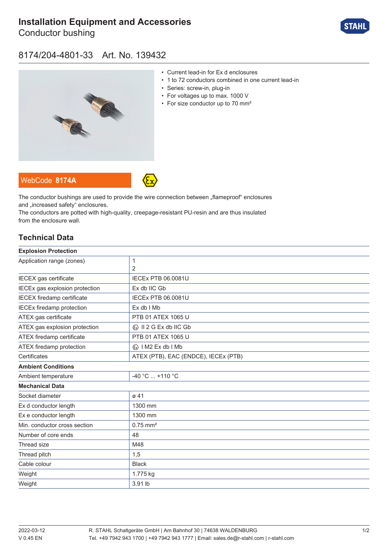# **[Installation Equipment and Accessories](https://r-stahl.com/en/global/products/materialid/139432)**

Conductor bushing



#### 8174/204-4801-33 Art. No. 139432



- Current lead-in for Ex d enclosures
- 1 to 72 conductors combined in one current lead-in
- Series: screw-in, plug-in
- For voltages up to max. 1000 V
- For size conductor up to 70 mm<sup>2</sup>

WebCode **[8174A](https://r-stahl.com/en/global/products/downloads/webcode/8174A)**



The conductor bushings are used to provide the wire connection between "flameproof" enclosures and ..increased safety" enclosures.

The conductors are potted with high-quality, creepage-resistant PU-resin and are thus insulated from the enclosure wall.

#### **Technical Data**

| <b>Explosion Protection</b>       |                                         |
|-----------------------------------|-----------------------------------------|
| Application range (zones)         | 1                                       |
|                                   | 2                                       |
| IECEX gas certificate             | <b>IECEx PTB 06.0081U</b>               |
| IECEx gas explosion protection    | Ex db IIC Gb                            |
| <b>IECEX</b> firedamp certificate | <b>IECEx PTB 06.0081U</b>               |
| <b>IECEx firedamp protection</b>  | Ex db I Mb                              |
| ATEX gas certificate              | PTB 01 ATEX 1065 U                      |
| ATEX gas explosion protection     | $\langle x \rangle$ II 2 G Ex db IIC Gb |
| ATEX firedamp certificate         | PTB 01 ATEX 1065 U                      |
| ATEX firedamp protection          | « I M2 Ex db I Mb                       |
| Certificates                      | ATEX (PTB), EAC (ENDCE), IECEx (PTB)    |
| <b>Ambient Conditions</b>         |                                         |
| Ambient temperature               | $-40 °C  +110 °C$                       |
| <b>Mechanical Data</b>            |                                         |
| Socket diameter                   | $\varnothing$ 41                        |
| Ex d conductor length             | 1300 mm                                 |
| Ex e conductor length             | 1300 mm                                 |
| Min. conductor cross section      | $0.75$ mm <sup>2</sup>                  |
| Number of core ends               | 48                                      |
| Thread size                       | M48                                     |
| Thread pitch                      | 1,5                                     |
| Cable colour                      | <b>Black</b>                            |
| Weight                            | 1.775 kg                                |
| Weight                            | 3.91 lb                                 |